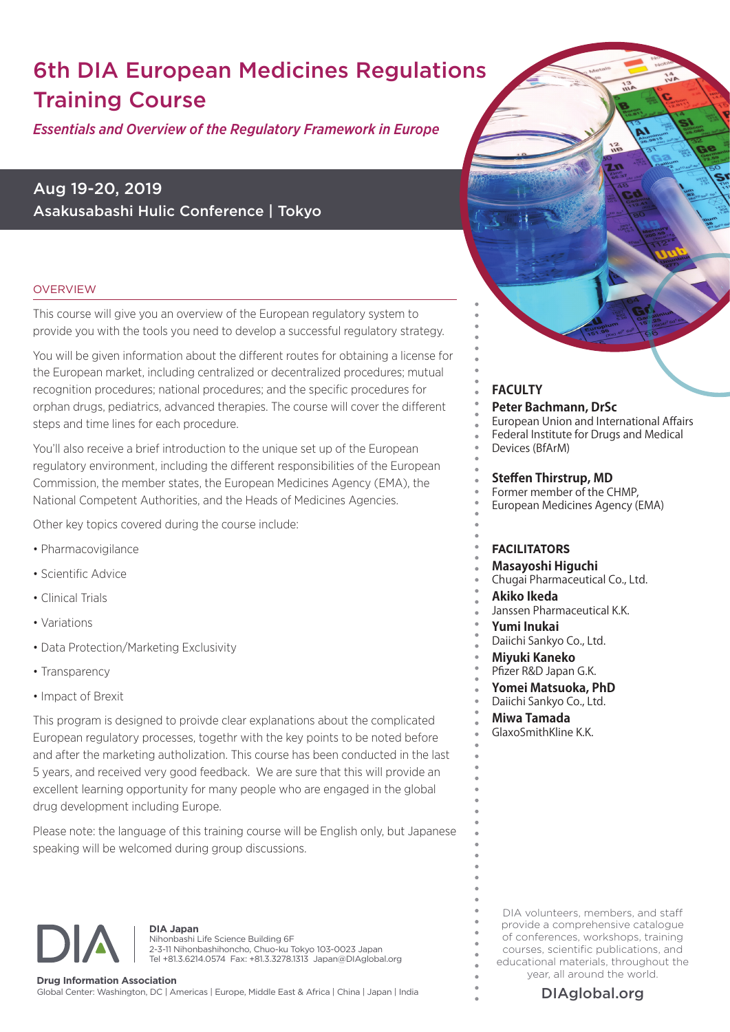# 6th DIA European Medicines Regulations Training Course

*Essentials and Overview of the Regulatory Framework in Europe*

Aug 19-20, 2019 Asakusabashi Hulic Conference | Tokyo

#### **OVERVIEW**

This course will give you an overview of the European regulatory system to provide you with the tools you need to develop a successful regulatory strategy.

You will be given information about the different routes for obtaining a license for the European market, including centralized or decentralized procedures; mutual recognition procedures; national procedures; and the specific procedures for orphan drugs, pediatrics, advanced therapies. The course will cover the different steps and time lines for each procedure.

You'll also receive a brief introduction to the unique set up of the European regulatory environment, including the different responsibilities of the European Commission, the member states, the European Medicines Agency (EMA), the National Competent Authorities, and the Heads of Medicines Agencies.

Other key topics covered during the course include:

- Pharmacovigilance
- Scientific Advice
- Clinical Trials
- Variations
- Data Protection/Marketing Exclusivity
- Transparency
- Impact of Brexit

This program is designed to proivde clear explanations about the complicated European regulatory processes, togethr with the key points to be noted before and after the marketing autholization. This course has been conducted in the last 5 years, and received very good feedback. We are sure that this will provide an excellent learning opportunity for many people who are engaged in the global drug development including Europe.

Please note: the language of this training course will be English only, but Japanese speaking will be welcomed during group discussions.



**DIA Japan**

Nihonbashi Life Science Building 6F 2-3-11 Nihonbashihoncho, Chuo-ku Tokyo 103-0023 Japan Tel +81.3.6214.0574 Fax: +81.3.3278.1313 Japan@DIAglobal.org

### **FACULTY Peter Bachmann, DrSc**

European Union and International Affairs Federal Institute for Drugs and Medical Devices (BfArM)

#### **Steffen Thirstrup, MD**

Former member of the CHMP, European Medicines Agency (EMA)

#### **FACILITATORS**

**Masayoshi Higuchi** Chugai Pharmaceutical Co., Ltd. **Akiko Ikeda** Janssen Pharmaceutical K.K. **Yumi Inukai** Daiichi Sankyo Co., Ltd. **Miyuki Kaneko** Pfizer R&D Japan G.K. **Yomei Matsuoka, PhD** Daiichi Sankyo Co., Ltd. **Miwa Tamada**

GlaxoSmithKline K.K.

DIA volunteers, members, and staff provide a comprehensive catalogue of conferences, workshops, training courses, scientific publications, and educational materials, throughout the year, all around the world.



**Drug Information Association** Global Center: Washington, DC | Americas | Europe, Middle East & Africa | China | Japan | India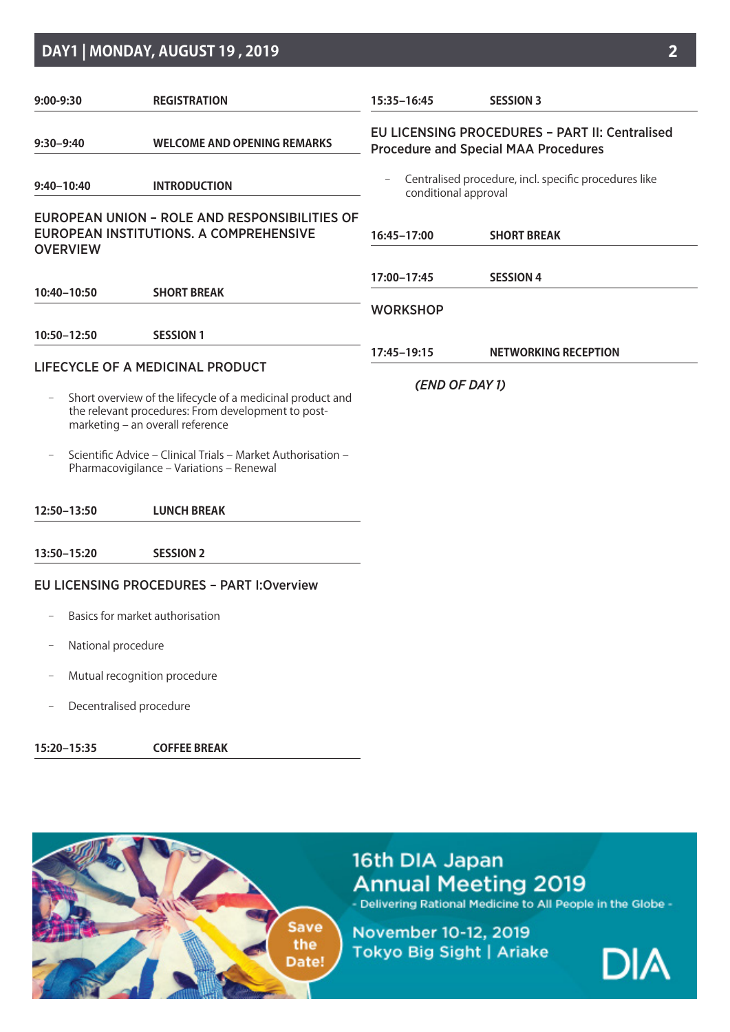### **DAY1 | MONDAY, AUGUST 19 , 2019 2**

| $9:00-9:30$        | <b>REGISTRATION</b>                                                                                                                                  | 15:35-16:45                                                                   | <b>SESSION 3</b>                                                                                     |  |  |
|--------------------|------------------------------------------------------------------------------------------------------------------------------------------------------|-------------------------------------------------------------------------------|------------------------------------------------------------------------------------------------------|--|--|
| $9:30 - 9:40$      | <b>WELCOME AND OPENING REMARKS</b>                                                                                                                   |                                                                               | <b>EU LICENSING PROCEDURES - PART II: Centralised</b><br><b>Procedure and Special MAA Procedures</b> |  |  |
| $9:40 - 10:40$     | <b>INTRODUCTION</b>                                                                                                                                  | Centralised procedure, incl. specific procedures like<br>conditional approval |                                                                                                      |  |  |
| <b>OVERVIEW</b>    | EUROPEAN UNION - ROLE AND RESPONSIBILITIES OF<br>EUROPEAN INSTITUTIONS, A COMPREHENSIVE                                                              | 16:45-17:00                                                                   | <b>SHORT BREAK</b>                                                                                   |  |  |
|                    |                                                                                                                                                      | 17:00-17:45                                                                   | <b>SESSION 4</b>                                                                                     |  |  |
| 10:40-10:50        | <b>SHORT BREAK</b>                                                                                                                                   | <b>WORKSHOP</b>                                                               |                                                                                                      |  |  |
| 10:50-12:50        | <b>SESSION 1</b>                                                                                                                                     |                                                                               |                                                                                                      |  |  |
|                    | LIFECYCLE OF A MEDICINAL PRODUCT                                                                                                                     | 17:45-19:15                                                                   | <b>NETWORKING RECEPTION</b>                                                                          |  |  |
|                    | Short overview of the lifecycle of a medicinal product and<br>the relevant procedures: From development to post-<br>marketing - an overall reference | (END OF DAY 1)                                                                |                                                                                                      |  |  |
|                    | Scientific Advice - Clinical Trials - Market Authorisation -<br>Pharmacovigilance - Variations - Renewal                                             |                                                                               |                                                                                                      |  |  |
| 12:50-13:50        | <b>LUNCH BREAK</b>                                                                                                                                   |                                                                               |                                                                                                      |  |  |
| 13:50-15:20        | <b>SESSION 2</b>                                                                                                                                     |                                                                               |                                                                                                      |  |  |
|                    | <b>EU LICENSING PROCEDURES - PART I: Overview</b>                                                                                                    |                                                                               |                                                                                                      |  |  |
|                    | Basics for market authorisation                                                                                                                      |                                                                               |                                                                                                      |  |  |
| National procedure |                                                                                                                                                      |                                                                               |                                                                                                      |  |  |
|                    | Mutual recognition procedure                                                                                                                         |                                                                               |                                                                                                      |  |  |

− Decentralised procedure

**15:20–15:35 COFFEE BREAK**



# 16th DIA Japan Annual Meeting 2019<br>- Delivering Rational Medicine to All People in the Globe -

November 10-12, 2019 Tokyo Big Sight | Ariake

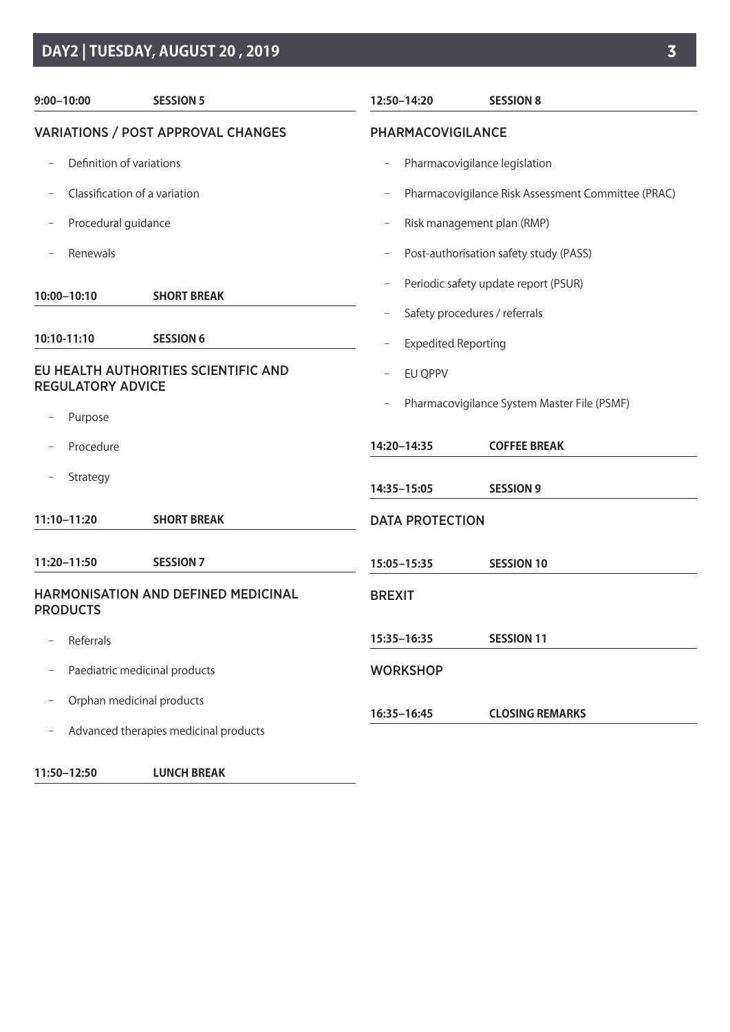## **DAY2 | TUESDAY, AUGUST 20 , 2019 3**

| $9:00 - 10:00$                                                   | <b>SESSION 5</b>                      | 12:50-14:20                | <b>SESSION 8</b>                                                      |  |  |
|------------------------------------------------------------------|---------------------------------------|----------------------------|-----------------------------------------------------------------------|--|--|
| <b>VARIATIONS / POST APPROVAL CHANGES</b>                        |                                       | PHARMACOVIGILANCE          |                                                                       |  |  |
| Definition of variations                                         |                                       |                            | Pharmacovigilance legislation                                         |  |  |
| Classification of a variation                                    |                                       |                            | Pharmacovigilance Risk Assessment Committee (PRAC)                    |  |  |
| Procedural guidance                                              |                                       |                            | Risk management plan (RMP)                                            |  |  |
| Renewals                                                         |                                       |                            | Post-authorisation safety study (PASS)                                |  |  |
| 10:00-10:10                                                      | <b>SHORT BREAK</b>                    |                            | Periodic safety update report (PSUR)<br>Safety procedures / referrals |  |  |
| 10:10-11:10                                                      | <b>SESSION 6</b>                      | <b>Expedited Reporting</b> |                                                                       |  |  |
| EU HEALTH AUTHORITIES SCIENTIFIC AND<br><b>REGULATORY ADVICE</b> |                                       | EU QPPV                    |                                                                       |  |  |
| Purpose                                                          |                                       |                            | Pharmacovigilance System Master File (PSMF)                           |  |  |
| Procedure                                                        |                                       | 14:20-14:35                | <b>COFFEE BREAK</b>                                                   |  |  |
| Strategy                                                         |                                       | 14:35-15:05                | <b>SESSION 9</b>                                                      |  |  |
| 11:10-11:20                                                      | <b>SHORT BREAK</b>                    |                            | <b>DATA PROTECTION</b>                                                |  |  |
| 11:20-11:50                                                      | <b>SESSION 7</b>                      | 15:05-15:35                | <b>SESSION 10</b>                                                     |  |  |
| <b>PRODUCTS</b>                                                  | HARMONISATION AND DEFINED MEDICINAL   | <b>BREXIT</b>              |                                                                       |  |  |
| Referrals                                                        |                                       | 15:35-16:35                | <b>SESSION 11</b>                                                     |  |  |
|                                                                  | Paediatric medicinal products         | <b>WORKSHOP</b>            |                                                                       |  |  |
| Orphan medicinal products                                        |                                       |                            |                                                                       |  |  |
|                                                                  | Advanced therapies medicinal products | 16:35-16:45                | <b>CLOSING REMARKS</b>                                                |  |  |
| 11:50-12:50                                                      | <b>LUNCH BREAK</b>                    |                            |                                                                       |  |  |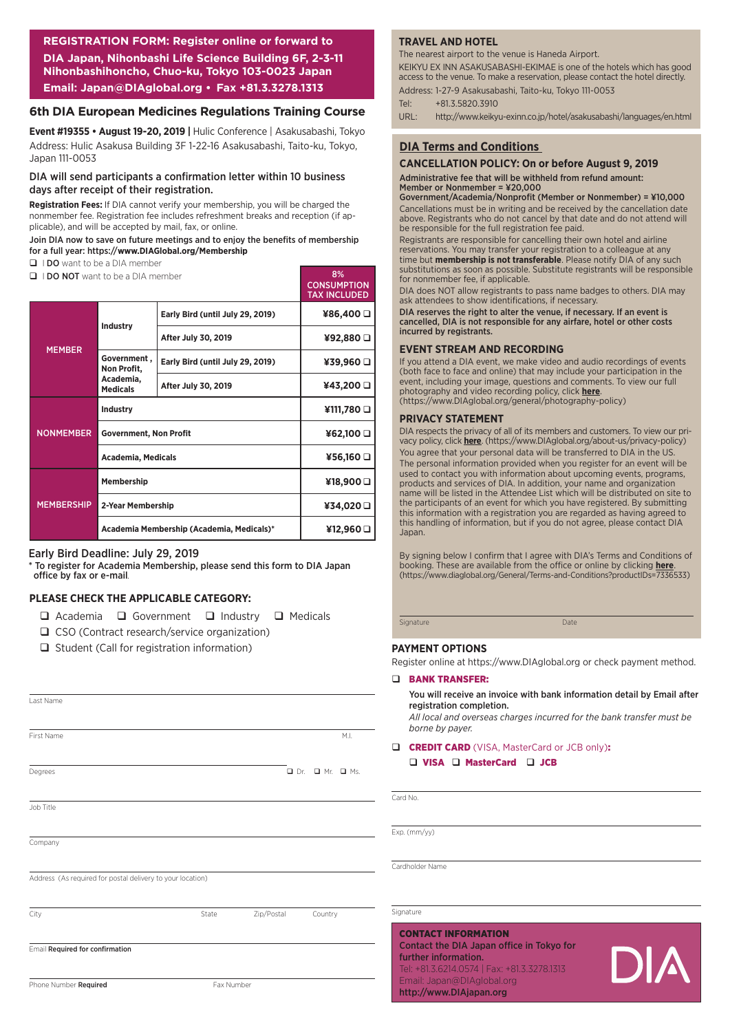**REGISTRATION FORM: Register online or forward to DIA Japan, Nihonbashi Life Science Building 6F, 2-3-11 Nihonbashihoncho, Chuo-ku, Tokyo 103-0023 Japan Email: Japan@DIAglobal.org • Fax +81.3.3278.1313**

#### **6th DIA European Medicines Regulations Training Course**

**Event #19355 • August 19-20, 2019 |** Hulic Conference | Asakusabashi, Tokyo Address: Hulic Asakusa Building 3F 1-22-16 Asakusabashi, Taito-ku, Tokyo, Japan 111-0053

#### DIA will send participants a confirmation letter within 10 business days after receipt of their registration.

**Registration Fees:** If DIA cannot verify your membership, you will be charged the nonmember fee. Registration fee includes refreshment breaks and reception (if applicable), and will be accepted by mail, fax, or online.

#### Join DIA now to save on future meetings and to enjoy the benefits of membership for a full year: https://**www.DIAGlobal.org/Membership**

- D I DO want to be a DIA member
- **Q I DO NOT** want to be a DIA member

|                   |                                           |                                  | <b>CONSUMPTION</b><br><b>TAX INCLUDED</b> |
|-------------------|-------------------------------------------|----------------------------------|-------------------------------------------|
|                   | Industry                                  | Early Bird (until July 29, 2019) | ¥86,400 Q                                 |
|                   |                                           | <b>After July 30, 2019</b>       | ¥92,880 O                                 |
| <b>MEMBER</b>     | Government,<br>Non Profit,                | Early Bird (until July 29, 2019) | ¥39,960 □                                 |
|                   | Academia,<br><b>Medicals</b>              | <b>After July 30, 2019</b>       | ¥43,200 Q                                 |
|                   | Industry                                  | ¥111,780                         |                                           |
| <b>NONMEMBER</b>  | <b>Government, Non Profit</b>             | ¥62,100 □                        |                                           |
|                   | <b>Academia, Medicals</b>                 | ¥56,160 □                        |                                           |
|                   | Membership                                |                                  | ¥18,900 □                                 |
| <b>MEMBERSHIP</b> | 2-Year Membership                         |                                  | ¥34,020 Q                                 |
|                   | Academia Membership (Academia, Medicals)* |                                  | ¥12,960 O                                 |

#### Early Bird Deadline: July 29, 2019

To register for Academia Membership, please send this form to DIA Japan office by fax or e-mail*.*

#### **PLEASE CHECK THE APPLICABLE CATEGORY:**

- $\Box$  Academia  $\Box$  Government  $\Box$  Industry  $\Box$  Medicals
- □ CSO (Contract research/service organization)
- $\Box$  Student (Call for registration information)

| Last Name                                                  |            |            |                                  |
|------------------------------------------------------------|------------|------------|----------------------------------|
|                                                            |            |            |                                  |
|                                                            |            |            |                                  |
| First Name                                                 |            |            | M.I.                             |
|                                                            |            |            |                                  |
| Degrees                                                    |            |            | $\Box$ Dr. $\Box$ Mr. $\Box$ Ms. |
|                                                            |            |            |                                  |
| Job Title                                                  |            |            |                                  |
|                                                            |            |            |                                  |
| Company                                                    |            |            |                                  |
|                                                            |            |            |                                  |
| Address (As required for postal delivery to your location) |            |            |                                  |
|                                                            |            |            |                                  |
| City                                                       | State      | Zip/Postal | Country                          |
|                                                            |            |            |                                  |
| Email Required for confirmation                            |            |            |                                  |
|                                                            |            |            |                                  |
| Phone Number Required                                      | Fax Number |            |                                  |

#### **TRAVEL AND HOTEL**

The nearest airport to the venue is Haneda Airport.

KEIKYU EX INN ASAKUSABASHI-EKIMAE is one of the hotels which has good access to the venue. To make a reservation, please contact the hotel directly. Address: 1-27-9 Asakusabashi, Taito-ku, Tokyo 111-0053

Tel: +81.3.5820.3910

URL: http://www.keikyu-exinn.co.jp/hotel/asakusabashi/languages/en.html

#### **DIA Terms and Conditions**

#### **CANCELLATION POLICY: On or before August 9, 2019**

Administrative fee that will be withheld from refund amount: Member or Nonmember = ¥20,000

Government/Academia/Nonprofit (Member or Nonmember) = ¥10,000 Cancellations must be in writing and be received by the cancellation date above. Registrants who do not cancel by that date and do not attend will be responsible for the full registration fee paid.

Registrants are responsible for cancelling their own hotel and airline reservations. You may transfer your registration to a colleague at any time but **membership is not transferable**. Please notify DIA of any such substitutions as soon as possible. Substitute registrants will be responsible for nonmember fee, if applicable.

DIA does NOT allow registrants to pass name badges to others. DIA may ask attendees to show identifications, if necessary.

DIA reserves the right to alter the venue, if necessary. If an event is cancelled, DIA is not responsible for any airfare, hotel or other costs incurred by registrants.

#### **EVENT STREAM AND RECORDING**

If you attend a DIA event, we make video and audio recordings of events (both face to face and online) that may include your participation in the event, including your image, questions and comments. To view our full photography and video recording policy, click **here**. (https://www.DIAglobal.org/general/photography-policy)

#### **PRIVACY STATEMENT**

 $90/$ 

DIA respects the privacy of all of its members and customers. To view our privacy policy, click **here**. (https://www.DIAglobal.org/about-us/privacy-policy) You agree that your personal data will be transferred to DIA in the US. The personal information provided when you register for an event will be used to contact you with information about upcoming events, programs, products and services of DIA. In addition, your name and organization name will be listed in the Attendee List which will be distributed on site to the participants of an event for which you have registered. By submitting this information with a registration you are regarded as having agreed to this handling of information, but if you do not agree, please contact DIA Japan.

By signing below I confirm that I agree with DIA's Terms and Conditions of booking. These are available from the office or online by clicking **[here](https://www.diaglobal.org/General/Terms-and-Conditions?productIDs=7336533)**. (https://www.diaglobal.org/General/Terms-and-Conditions?productIDs=7336533)

Signature Date

#### **PAYMENT OPTIONS**

Register online at https://www.DIAglobal.org or check payment method.

#### D BANK TRANSFER:

#### You will receive an invoice with bank information detail by Email after registration completion.

*All local and overseas charges incurred for the bank transfer must be borne by payer.*

#### **Q CREDIT CARD** (VISA, MasterCard or JCB only):  $\Box$  VISA  $\Box$  MasterCard  $\Box$  JCB

Card No.

Exp. (mm/yy)

Cardholder Name

#### **Signature**

#### CONTACT INFORMATION Contact the DIA Japan office in Tokyo for further information. Tel: +81.3.6214.0574 | Fax: +81.3.3278.1313 Email: Japan@DIAglobal.org http://www.DIAjapan.org

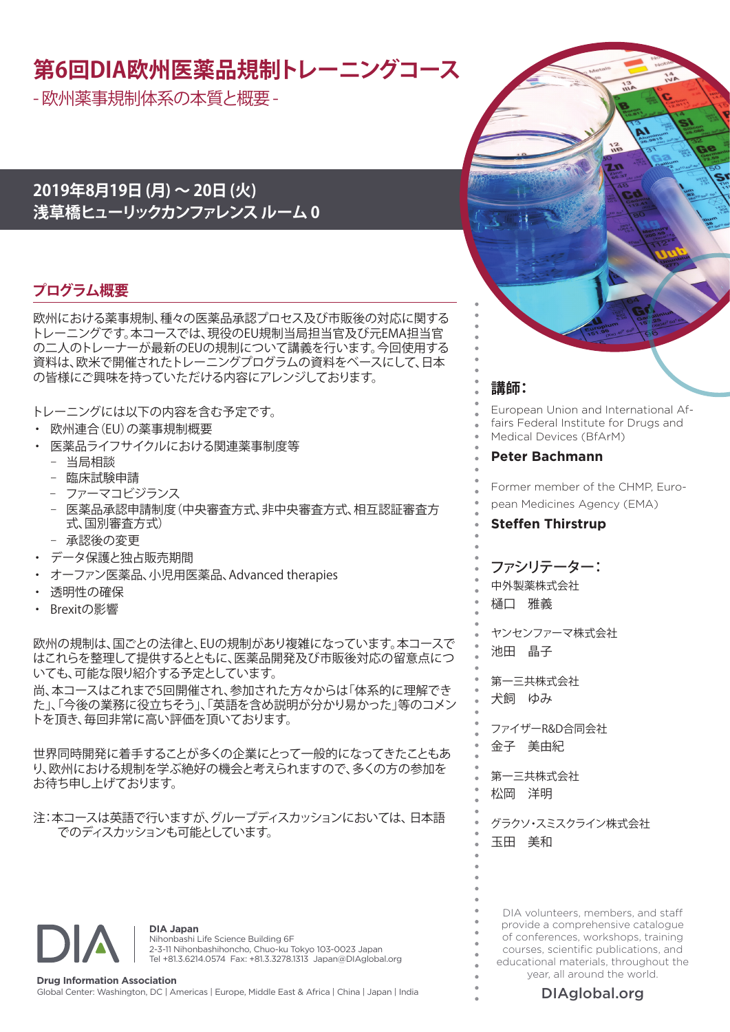# **第6回DIA欧州医薬品規制トレーニングコース**

- 欧州薬事規制体系の本質と概要 -

### **2019年8月19日 (月) ~ 20日 (火) 浅草橋ヒューリックカンファレンス ルーム 0**

### **プログラム概要**

欧州における薬事規制、種々の医薬品承認プロセス及び市販後の対応に関する トレーニングです。本コースでは、現役のEU規制当局担当官及び元EMA担当官 の二人のトレーナーが最新のEUの規制について講義を行います。今回使用する 資料は、欧米で開催されたトレーニングプログラムの資料をベースにして、日本 の皆様にご興味を持っていただける内容にアレンジしております。

トレーニングには以下の内容を含む予定です。

- ・ 欧州連合(EU)の薬事規制概要
- 医薬品ライフサイクルにおける関連薬事制度等
	- − 当局相談
	- − 臨床試験申請
	- − ファーマコビジランス
	- − 医薬品承認申請制度(中央審査方式、非中央審査方式、相互認証審査方 式、国別審査方式)
	- − 承認後の変更
- データ保護と独占販売期間
- オーファン医薬品、小児用医薬品、Advanced therapies
- 透明性の確保
- Brexitの影響

欧州の規制は、国ごとの法律と、EUの規制があり複雑になっています。本コースで はこれらを整理して提供するとともに、医薬品開発及び市販後対応の留意点につ いても、可能な限り紹介する予定としています。

尚、本コースはこれまで5回開催され、参加された方々からは「体系的に理解でき た」、「今後の業務に役立ちそう」、「英語を含め説明が分かり易かった」等のコメン トを頂き、毎回非常に高い評価を頂いております。

世界同時開発に着手することが多くの企業にとって一般的になってきたこともあ り、欧州における規制を学ぶ絶好の機会と考えられますので、多くの方の参加を お待ち申し上げております。

注:本コースは英語で行いますが、グループディスカッションにおいては、日本語 でのディスカッションも可能としています。



**DIA Japan** Nihonbashi Life Science Building 6F 2-3-11 Nihonbashihoncho, Chuo-ku Tokyo 103-0023 Japan Tel +81.3.6214.0574 Fax: +81.3.3278.1313 Japan@DIAglobal.org

### **講師:**

European Union and International Affairs Federal Institute for Drugs and Medical Devices (BfArM)

#### **Peter Bachmann**

Former member of the CHMP, European Medicines Agency (EMA)

#### **Steffen Thirstrup**

### ファシリテーター:

中外製薬株式会社

樋口 雅義

ヤンセンファーマ株式会社 池田 晶子

第一三共株式会社 犬飼 ゆみ

ファイザーR&D合同会社 金子 美由紀

第一三共株式会社 松岡 洋明

グラクソ・スミスクライン株式会社 玉田 美和

DIA volunteers, members, and staff provide a comprehensive catalogue of conferences, workshops, training courses, scientific publications, and educational materials, throughout the year, all around the world.



[DIAglobal.org](http://www.DIAGlobal.org)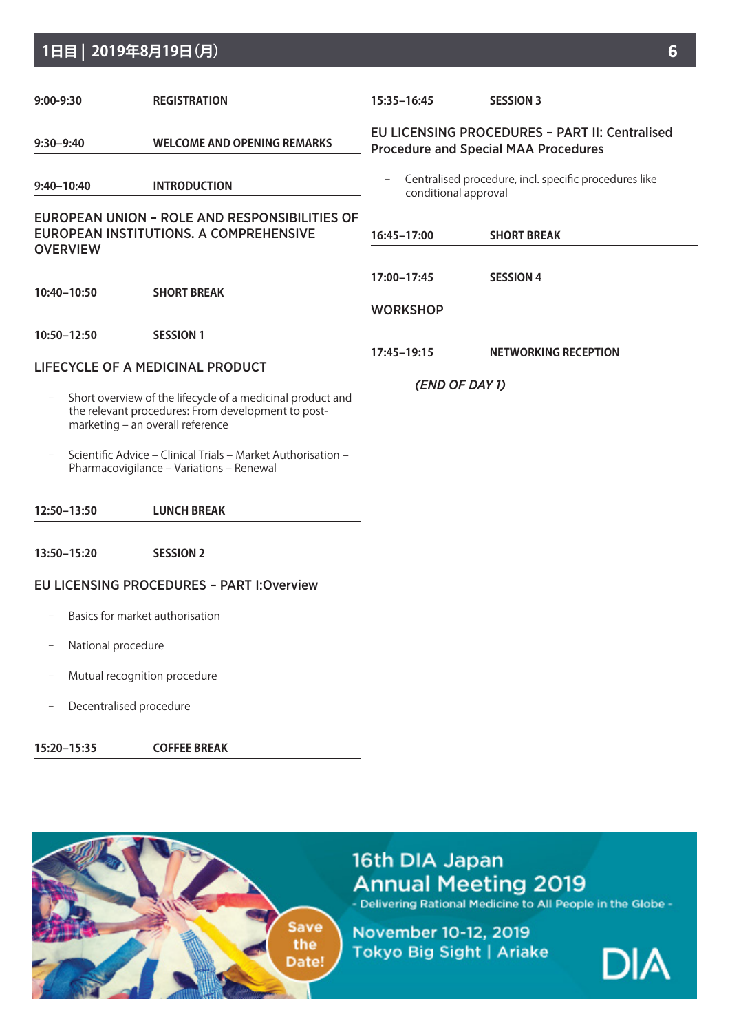### **1日目 | 2019年8月19日(月) 6**

| 9:00-9:30                                           | <b>REGISTRATION</b>                                                                                                                                                                                                                                              | 15:35-16:45                                                                                          | <b>SESSION 3</b>            |  |  |
|-----------------------------------------------------|------------------------------------------------------------------------------------------------------------------------------------------------------------------------------------------------------------------------------------------------------------------|------------------------------------------------------------------------------------------------------|-----------------------------|--|--|
| <b>WELCOME AND OPENING REMARKS</b><br>$9:30 - 9:40$ |                                                                                                                                                                                                                                                                  | <b>EU LICENSING PROCEDURES - PART II: Centralised</b><br><b>Procedure and Special MAA Procedures</b> |                             |  |  |
| $9:40 - 10:40$                                      | <b>INTRODUCTION</b>                                                                                                                                                                                                                                              | Centralised procedure, incl. specific procedures like<br>conditional approval                        |                             |  |  |
| <b>OVERVIEW</b>                                     | EUROPEAN UNION - ROLE AND RESPONSIBILITIES OF<br>EUROPEAN INSTITUTIONS. A COMPREHENSIVE                                                                                                                                                                          | 16:45-17:00                                                                                          | <b>SHORT BREAK</b>          |  |  |
|                                                     |                                                                                                                                                                                                                                                                  | 17:00-17:45                                                                                          | <b>SESSION 4</b>            |  |  |
| 10:40-10:50                                         | <b>SHORT BREAK</b>                                                                                                                                                                                                                                               | <b>WORKSHOP</b>                                                                                      |                             |  |  |
| 10:50-12:50                                         | <b>SESSION 1</b>                                                                                                                                                                                                                                                 |                                                                                                      |                             |  |  |
|                                                     | LIFECYCLE OF A MEDICINAL PRODUCT                                                                                                                                                                                                                                 | 17:45-19:15                                                                                          | <b>NETWORKING RECEPTION</b> |  |  |
|                                                     | Short overview of the lifecycle of a medicinal product and<br>the relevant procedures: From development to post-<br>marketing - an overall reference<br>Scientific Advice - Clinical Trials - Market Authorisation -<br>Pharmacovigilance - Variations - Renewal | (END OF DAY 1)                                                                                       |                             |  |  |
| 12:50-13:50                                         | <b>LUNCH BREAK</b>                                                                                                                                                                                                                                               |                                                                                                      |                             |  |  |
| 13:50-15:20                                         | <b>SESSION 2</b>                                                                                                                                                                                                                                                 |                                                                                                      |                             |  |  |
|                                                     | <b>EU LICENSING PROCEDURES - PART I: Overview</b>                                                                                                                                                                                                                |                                                                                                      |                             |  |  |
|                                                     | Basics for market authorisation                                                                                                                                                                                                                                  |                                                                                                      |                             |  |  |
|                                                     | National procedure                                                                                                                                                                                                                                               |                                                                                                      |                             |  |  |
|                                                     | Mutual recognition procedure                                                                                                                                                                                                                                     |                                                                                                      |                             |  |  |

− Decentralised procedure

**15:20–15:35 COFFEE BREAK**



# 16th DIA Japan Annual Meeting 2019<br>- Delivering Rational Medicine to All People in the Globe -

November 10-12, 2019 Tokyo Big Sight | Ariake

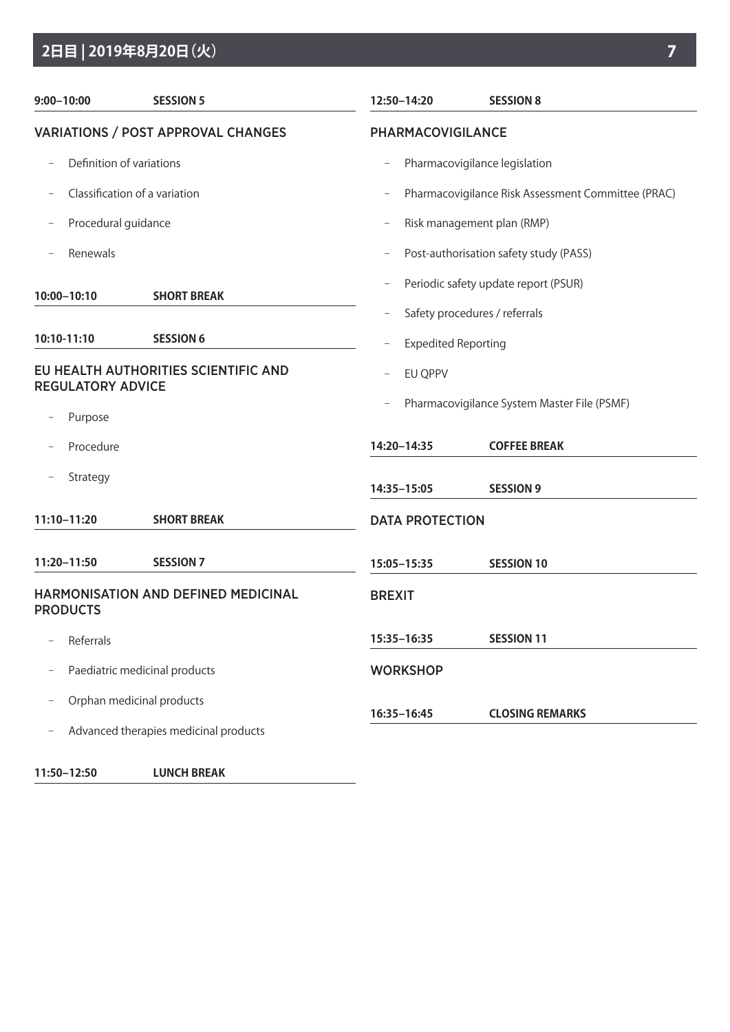## **2日目 | 2019年8月20日(火) 7**

| $9:00 - 10:00$                                                   | <b>SESSION 5</b>                           | 12:50-14:20                | <b>SESSION 8</b>                                                      |  |  |  |
|------------------------------------------------------------------|--------------------------------------------|----------------------------|-----------------------------------------------------------------------|--|--|--|
| <b>VARIATIONS / POST APPROVAL CHANGES</b>                        |                                            |                            | PHARMACOVIGILANCE                                                     |  |  |  |
| Definition of variations                                         |                                            |                            | Pharmacovigilance legislation                                         |  |  |  |
|                                                                  | Classification of a variation              | $\qquad \qquad -$          | Pharmacovigilance Risk Assessment Committee (PRAC)                    |  |  |  |
| Procedural guidance                                              |                                            | -                          | Risk management plan (RMP)                                            |  |  |  |
| Renewals                                                         |                                            |                            | Post-authorisation safety study (PASS)                                |  |  |  |
| 10:00-10:10                                                      | <b>SHORT BREAK</b>                         | $\qquad \qquad -$          | Periodic safety update report (PSUR)<br>Safety procedures / referrals |  |  |  |
| 10:10-11:10                                                      | <b>SESSION 6</b>                           | <b>Expedited Reporting</b> |                                                                       |  |  |  |
| EU HEALTH AUTHORITIES SCIENTIFIC AND<br><b>REGULATORY ADVICE</b> |                                            | EU QPPV                    |                                                                       |  |  |  |
| Purpose                                                          |                                            |                            | Pharmacovigilance System Master File (PSMF)                           |  |  |  |
| Procedure                                                        |                                            | 14:20-14:35                | <b>COFFEE BREAK</b>                                                   |  |  |  |
| Strategy                                                         |                                            | 14:35-15:05                | <b>SESSION 9</b>                                                      |  |  |  |
| 11:10-11:20                                                      | <b>SHORT BREAK</b>                         |                            | <b>DATA PROTECTION</b>                                                |  |  |  |
| 11:20-11:50                                                      | <b>SESSION 7</b>                           | 15:05-15:35                | <b>SESSION 10</b>                                                     |  |  |  |
| <b>PRODUCTS</b>                                                  | <b>HARMONISATION AND DEFINED MEDICINAL</b> | <b>BREXIT</b>              |                                                                       |  |  |  |
| Referrals                                                        |                                            | 15:35-16:35                | <b>SESSION 11</b>                                                     |  |  |  |
|                                                                  | Paediatric medicinal products              | <b>WORKSHOP</b>            |                                                                       |  |  |  |
|                                                                  | Orphan medicinal products                  |                            |                                                                       |  |  |  |
|                                                                  | Advanced therapies medicinal products      | 16:35-16:45                | <b>CLOSING REMARKS</b>                                                |  |  |  |
| 11:50-12:50                                                      | <b>LUNCH BREAK</b>                         |                            |                                                                       |  |  |  |